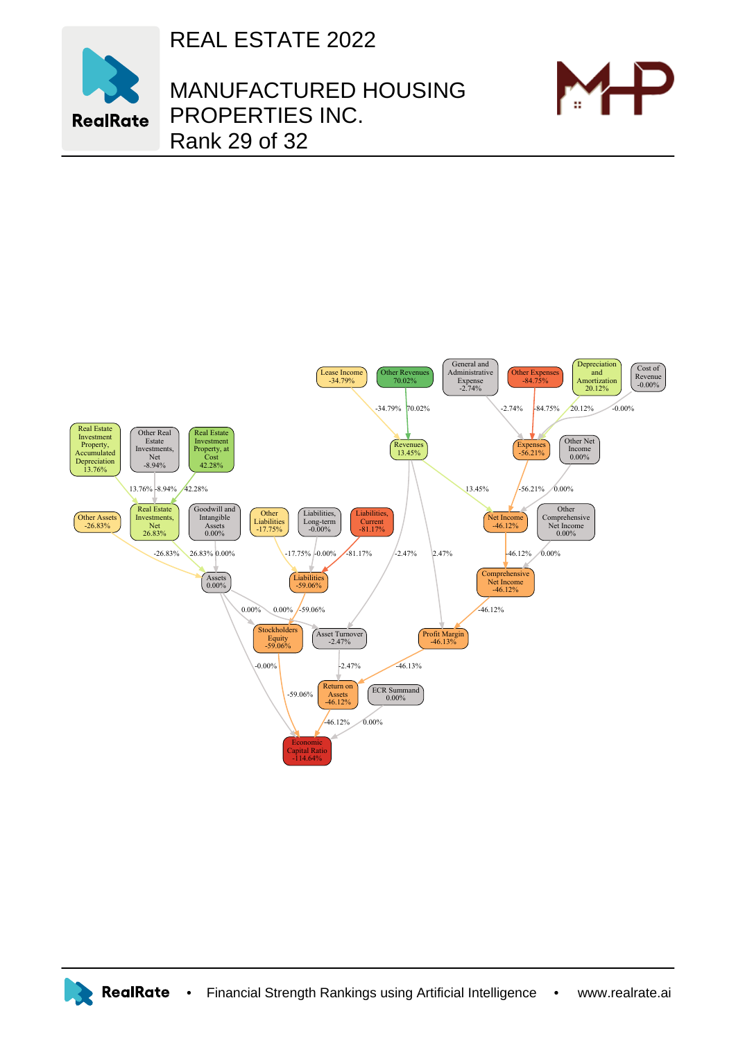REAL ESTATE 2022



MANUFACTURED HOUSING PROPERTIES INC. Rank 29 of 32